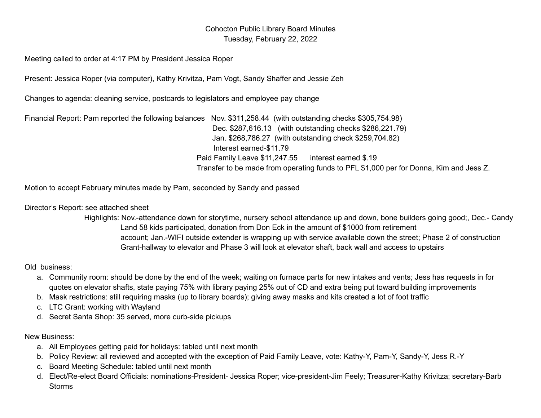## Cohocton Public Library Board Minutes Tuesday, February 22, 2022

Meeting called to order at 4:17 PM by President Jessica Roper

Present: Jessica Roper (via computer), Kathy Krivitza, Pam Vogt, Sandy Shaffer and Jessie Zeh

Changes to agenda: cleaning service, postcards to legislators and employee pay change

Financial Report: Pam reported the following balances Nov. \$311,258.44 (with outstanding checks \$305,754.98) Dec. \$287,616.13 (with outstanding checks \$286,221.79) Jan. \$268,786.27 (with outstanding check \$259,704.82) Interest earned-\$11.79 Paid Family Leave \$11,247.55 interest earned \$.19 Transfer to be made from operating funds to PFL \$1,000 per for Donna, Kim and Jess Z.

Motion to accept February minutes made by Pam, seconded by Sandy and passed

Director's Report: see attached sheet

Highlights: Nov.-attendance down for storytime, nursery school attendance up and down, bone builders going good;, Dec.- Candy Land 58 kids participated, donation from Don Eck in the amount of \$1000 from retirement account; Jan.-WIFI outside extender is wrapping up with service available down the street; Phase 2 of construction Grant-hallway to elevator and Phase 3 will look at elevator shaft, back wall and access to upstairs

## Old business:

- a. Community room: should be done by the end of the week; waiting on furnace parts for new intakes and vents; Jess has requests in for quotes on elevator shafts, state paying 75% with library paying 25% out of CD and extra being put toward building improvements
- b. Mask restrictions: still requiring masks (up to library boards); giving away masks and kits created a lot of foot traffic
- c. LTC Grant: working with Wayland
- d. Secret Santa Shop: 35 served, more curb-side pickups

## New Business:

- a. All Employees getting paid for holidays: tabled until next month
- b. Policy Review: all reviewed and accepted with the exception of Paid Family Leave, vote: Kathy-Y, Pam-Y, Sandy-Y, Jess R.-Y
- c. Board Meeting Schedule: tabled until next month
- d. Elect/Re-elect Board Officials: nominations-President- Jessica Roper; vice-president-Jim Feely; Treasurer-Kathy Krivitza; secretary-Barb Storms